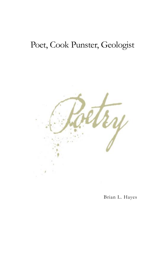## Poet, Cook Punster, Geologist



Brian L. Hayes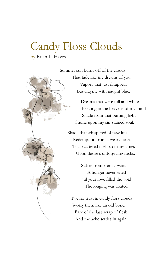## Candy Floss Clouds

by Brian L. Hayes

Summer sun burns off of the clouds That fade like my dreams of you Vapors that just disappear Leaving me with naught blue.

> Dreams that were full and white Floating in the heavens of my mind Shade from that burning light Shone upon my sin-stained soul.

Shade that whispered of new life Redemption from a weary heart That scattered itself so many times Upon desire's unforgiving rocks.

> Suffer from eternal wants A hunger never sated 'til your love filled the void The longing was abated.

I've no trust in candy floss clouds Worry them like an old bone, Bare of the last scrap of flesh And the ache settles in again.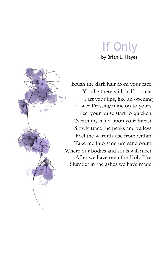## If Only by Brian L. Hayes



Brush the dark hair from your face, You lie there with half a smile. Part your lips, like an opening flower Pressing mine on to yours. Feel your pulse start to quicken, 'Neath my hand upon your breast. Slowly trace the peaks and valleys, Feel the warmth rise from within. Take me into sanctum sanctorum, Where our bodies and souls will meet. After we have seen the Holy Fire, Slumber in the ashes we have made.